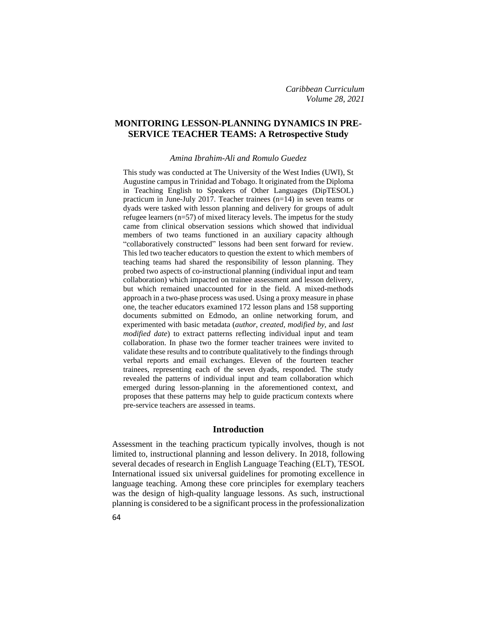# **MONITORING LESSON-PLANNING DYNAMICS IN PRE-SERVICE TEACHER TEAMS: A Retrospective Study**

*Amina Ibrahim-Ali and Romulo Guedez*

This study was conducted at The University of the West Indies (UWI), St Augustine campus in Trinidad and Tobago. It originated from the Diploma in Teaching English to Speakers of Other Languages (DipTESOL) practicum in June-July 2017. Teacher trainees (n=14) in seven teams or dyads were tasked with lesson planning and delivery for groups of adult refugee learners (n=57) of mixed literacy levels. The impetus for the study came from clinical observation sessions which showed that individual members of two teams functioned in an auxiliary capacity although "collaboratively constructed" lessons had been sent forward for review. This led two teacher educators to question the extent to which members of teaching teams had shared the responsibility of lesson planning. They probed two aspects of co-instructional planning (individual input and team collaboration) which impacted on trainee assessment and lesson delivery, but which remained unaccounted for in the field. A mixed-methods approach in a two-phase process was used. Using a proxy measure in phase one, the teacher educators examined 172 lesson plans and 158 supporting documents submitted on Edmodo, an online networking forum, and experimented with basic metadata (*author*, *created*, *modified by*, and *last modified date*) to extract patterns reflecting individual input and team collaboration. In phase two the former teacher trainees were invited to validate these results and to contribute qualitatively to the findings through verbal reports and email exchanges. Eleven of the fourteen teacher trainees, representing each of the seven dyads, responded. The study revealed the patterns of individual input and team collaboration which emerged during lesson-planning in the aforementioned context, and proposes that these patterns may help to guide practicum contexts where pre-service teachers are assessed in teams.

## **Introduction**

Assessment in the teaching practicum typically involves, though is not limited to, instructional planning and lesson delivery. In 2018, following several decades of research in English Language Teaching (ELT), TESOL International issued six universal guidelines for promoting excellence in language teaching. Among these core principles for exemplary teachers was the design of high-quality language lessons. As such, instructional planning is considered to be a significant process in the professionalization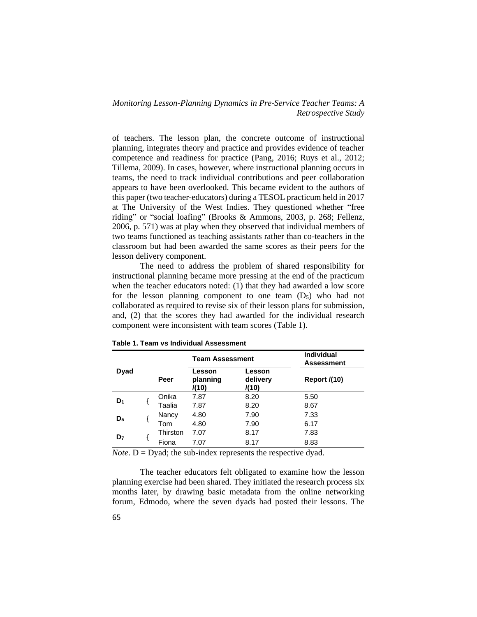of teachers. The lesson plan, the concrete outcome of instructional planning, integrates theory and practice and provides evidence of teacher competence and readiness for practice (Pang, 2016; Ruys et al., 2012; Tillema, 2009). In cases, however, where instructional planning occurs in teams, the need to track individual contributions and peer collaboration appears to have been overlooked. This became evident to the authors of this paper (two teacher-educators) during a TESOL practicum held in 2017 at The University of the West Indies. They questioned whether "free riding" or "social loafing" (Brooks & Ammons, 2003, p. 268; Fellenz, 2006, p. 571) was at play when they observed that individual members of two teams functioned as teaching assistants rather than co-teachers in the classroom but had been awarded the same scores as their peers for the lesson delivery component.

The need to address the problem of shared responsibility for instructional planning became more pressing at the end of the practicum when the teacher educators noted: (1) that they had awarded a low score for the lesson planning component to one team  $(D_5)$  who had not collaborated as required to revise six of their lesson plans for submission, and, (2) that the scores they had awarded for the individual research component were inconsistent with team scores (Table 1).

|                |          | <b>Team Assessment</b>                                     |      | <b>Individual</b><br>Assessment |  |  |
|----------------|----------|------------------------------------------------------------|------|---------------------------------|--|--|
| Dyad           | Peer     | Lesson<br>Lesson<br>delivery<br>planning<br>/(10)<br>/(10) |      | <b>Report /(10)</b>             |  |  |
| $D_1$          | Onika    | 7.87                                                       | 8.20 | 5.50                            |  |  |
|                | Taalia   | 7.87                                                       | 8.20 | 8.67                            |  |  |
| D <sub>5</sub> | Nancy    | 4.80                                                       | 7.90 | 7.33                            |  |  |
|                | Tom      | 4.80                                                       | 7.90 | 6.17                            |  |  |
| D <sub>7</sub> | Thirston | 7.07                                                       | 8.17 | 7.83                            |  |  |
|                | Fiona    | 7.07                                                       | 8.17 | 8.83                            |  |  |

**Table 1. Team vs Individual Assessment**

*Note*.  $D = Dyad$ ; the sub-index represents the respective dyad.

The teacher educators felt obligated to examine how the lesson planning exercise had been shared. They initiated the research process six months later, by drawing basic metadata from the online networking forum, Edmodo, where the seven dyads had posted their lessons. The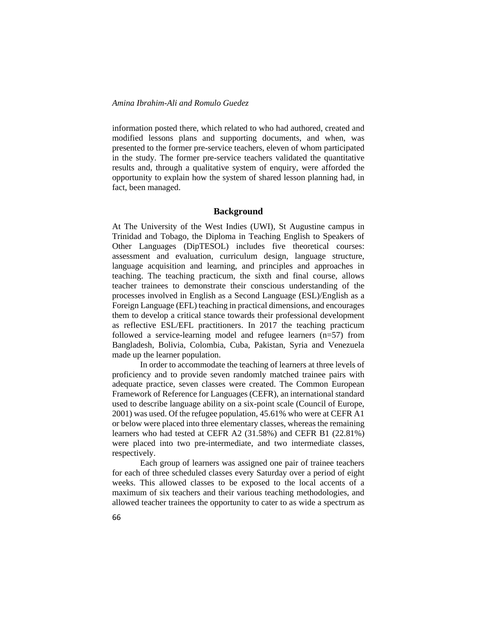information posted there, which related to who had authored, created and modified lessons plans and supporting documents, and when, was presented to the former pre-service teachers, eleven of whom participated in the study. The former pre-service teachers validated the quantitative results and, through a qualitative system of enquiry, were afforded the opportunity to explain how the system of shared lesson planning had, in fact, been managed.

#### **Background**

At The University of the West Indies (UWI), St Augustine campus in Trinidad and Tobago, the Diploma in Teaching English to Speakers of Other Languages (DipTESOL) includes five theoretical courses: assessment and evaluation, curriculum design, language structure, language acquisition and learning, and principles and approaches in teaching. The teaching practicum, the sixth and final course, allows teacher trainees to demonstrate their conscious understanding of the processes involved in English as a Second Language (ESL)/English as a Foreign Language (EFL) teaching in practical dimensions, and encourages them to develop a critical stance towards their professional development as reflective ESL/EFL practitioners. In 2017 the teaching practicum followed a service-learning model and refugee learners (n=57) from Bangladesh, Bolivia, Colombia, Cuba, Pakistan, Syria and Venezuela made up the learner population.

In order to accommodate the teaching of learners at three levels of proficiency and to provide seven randomly matched trainee pairs with adequate practice, seven classes were created. The Common European Framework of Reference for Languages (CEFR), an international standard used to describe language ability on a six-point scale (Council of Europe, 2001) was used. Of the refugee population, 45.61% who were at CEFR A1 or below were placed into three elementary classes, whereas the remaining learners who had tested at CEFR A2 (31.58%) and CEFR B1 (22.81%) were placed into two pre-intermediate, and two intermediate classes, respectively.

Each group of learners was assigned one pair of trainee teachers for each of three scheduled classes every Saturday over a period of eight weeks. This allowed classes to be exposed to the local accents of a maximum of six teachers and their various teaching methodologies, and allowed teacher trainees the opportunity to cater to as wide a spectrum as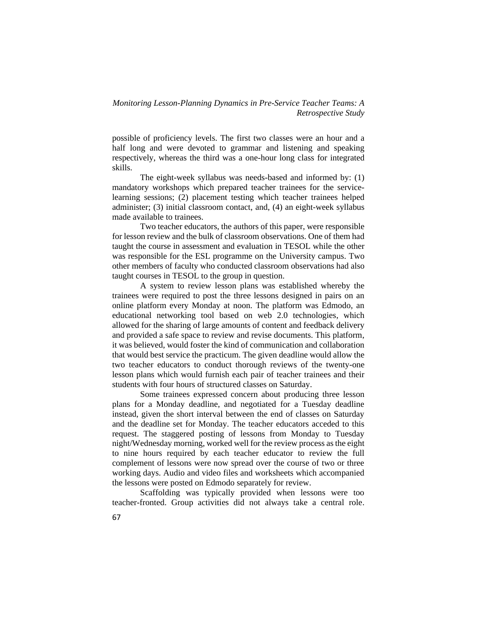possible of proficiency levels. The first two classes were an hour and a half long and were devoted to grammar and listening and speaking respectively, whereas the third was a one-hour long class for integrated skills.

The eight-week syllabus was needs-based and informed by: (1) mandatory workshops which prepared teacher trainees for the servicelearning sessions; (2) placement testing which teacher trainees helped administer; (3) initial classroom contact, and, (4) an eight-week syllabus made available to trainees.

Two teacher educators, the authors of this paper, were responsible for lesson review and the bulk of classroom observations. One of them had taught the course in assessment and evaluation in TESOL while the other was responsible for the ESL programme on the University campus. Two other members of faculty who conducted classroom observations had also taught courses in TESOL to the group in question.

A system to review lesson plans was established whereby the trainees were required to post the three lessons designed in pairs on an online platform every Monday at noon. The platform was Edmodo, an educational networking tool based on web 2.0 technologies, which allowed for the sharing of large amounts of content and feedback delivery and provided a safe space to review and revise documents. This platform, it was believed, would foster the kind of communication and collaboration that would best service the practicum. The given deadline would allow the two teacher educators to conduct thorough reviews of the twenty-one lesson plans which would furnish each pair of teacher trainees and their students with four hours of structured classes on Saturday.

Some trainees expressed concern about producing three lesson plans for a Monday deadline, and negotiated for a Tuesday deadline instead, given the short interval between the end of classes on Saturday and the deadline set for Monday. The teacher educators acceded to this request. The staggered posting of lessons from Monday to Tuesday night/Wednesday morning, worked well for the review process as the eight to nine hours required by each teacher educator to review the full complement of lessons were now spread over the course of two or three working days. Audio and video files and worksheets which accompanied the lessons were posted on Edmodo separately for review.

Scaffolding was typically provided when lessons were too teacher-fronted. Group activities did not always take a central role.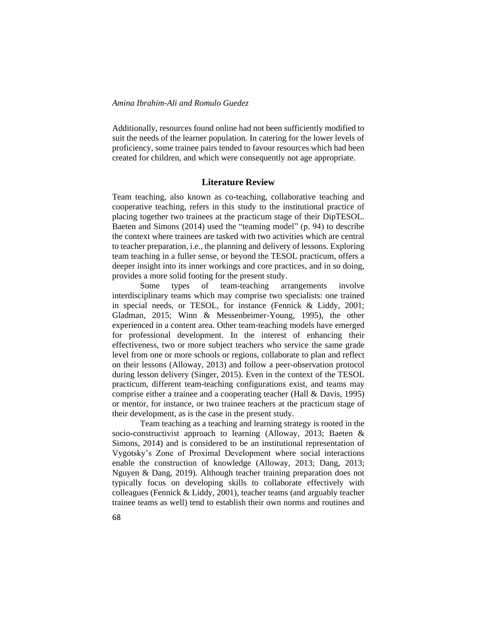Additionally, resources found online had not been sufficiently modified to suit the needs of the learner population. In catering for the lower levels of proficiency, some trainee pairs tended to favour resources which had been created for children, and which were consequently not age appropriate.

#### **Literature Review**

Team teaching, also known as co-teaching, collaborative teaching and cooperative teaching, refers in this study to the institutional practice of placing together two trainees at the practicum stage of their DipTESOL. Baeten and Simons (2014) used the "teaming model" (p. 94) to describe the context where trainees are tasked with two activities which are central to teacher preparation, i.e., the planning and delivery of lessons. Exploring team teaching in a fuller sense, or beyond the TESOL practicum, offers a deeper insight into its inner workings and core practices, and in so doing, provides a more solid footing for the present study.

Some types of team-teaching arrangements involve interdisciplinary teams which may comprise two specialists: one trained in special needs, or TESOL, for instance (Fennick & Liddy, 2001; Gladman, 2015; Winn & Messenbeimer-Young, 1995), the other experienced in a content area. Other team-teaching models have emerged for professional development. In the interest of enhancing their effectiveness, two or more subject teachers who service the same grade level from one or more schools or regions, collaborate to plan and reflect on their lessons (Alloway, 2013) and follow a peer-observation protocol during lesson delivery (Singer, 2015). Even in the context of the TESOL practicum, different team-teaching configurations exist, and teams may comprise either a trainee and a cooperating teacher (Hall & Davis, 1995) or mentor, for instance, or two trainee teachers at the practicum stage of their development, as is the case in the present study.

Team teaching as a teaching and learning strategy is rooted in the socio-constructivist approach to learning (Alloway, 2013; Baeten & Simons, 2014) and is considered to be an institutional representation of Vygotsky's Zone of Proximal Development where social interactions enable the construction of knowledge (Alloway, 2013; Dang, 2013; Nguyen & Dang, 2019). Although teacher training preparation does not typically focus on developing skills to collaborate effectively with colleagues (Fennick & Liddy, 2001), teacher teams (and arguably teacher trainee teams as well) tend to establish their own norms and routines and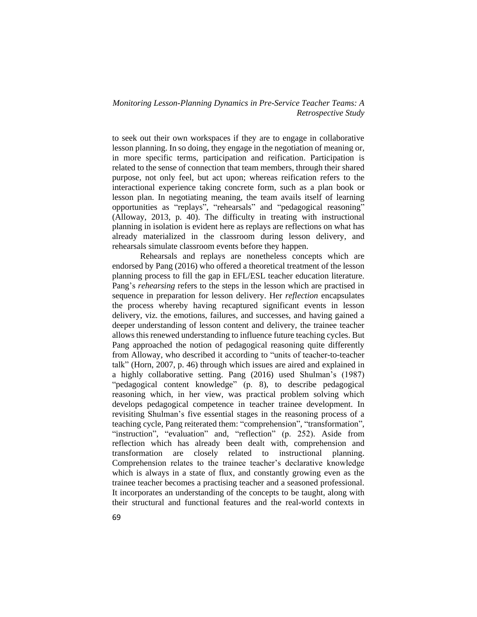to seek out their own workspaces if they are to engage in collaborative lesson planning. In so doing, they engage in the negotiation of meaning or, in more specific terms, participation and reification. Participation is related to the sense of connection that team members, through their shared purpose, not only feel, but act upon; whereas reification refers to the interactional experience taking concrete form, such as a plan book or lesson plan. In negotiating meaning, the team avails itself of learning opportunities as "replays", "rehearsals" and "pedagogical reasoning" (Alloway, 2013, p. 40). The difficulty in treating with instructional planning in isolation is evident here as replays are reflections on what has already materialized in the classroom during lesson delivery, and rehearsals simulate classroom events before they happen.

Rehearsals and replays are nonetheless concepts which are endorsed by Pang (2016) who offered a theoretical treatment of the lesson planning process to fill the gap in EFL/ESL teacher education literature. Pang's *rehearsing* refers to the steps in the lesson which are practised in sequence in preparation for lesson delivery. Her *reflection* encapsulates the process whereby having recaptured significant events in lesson delivery, viz. the emotions, failures, and successes, and having gained a deeper understanding of lesson content and delivery, the trainee teacher allows this renewed understanding to influence future teaching cycles. But Pang approached the notion of pedagogical reasoning quite differently from Alloway, who described it according to "units of teacher-to-teacher talk" (Horn, 2007, p. 46) through which issues are aired and explained in a highly collaborative setting. Pang (2016) used Shulman's (1987) "pedagogical content knowledge" (p. 8), to describe pedagogical reasoning which, in her view, was practical problem solving which develops pedagogical competence in teacher trainee development. In revisiting Shulman's five essential stages in the reasoning process of a teaching cycle, Pang reiterated them: "comprehension", "transformation", "instruction", "evaluation" and, "reflection" (p. 252). Aside from reflection which has already been dealt with, comprehension and transformation are closely related to instructional planning. Comprehension relates to the trainee teacher's declarative knowledge which is always in a state of flux, and constantly growing even as the trainee teacher becomes a practising teacher and a seasoned professional. It incorporates an understanding of the concepts to be taught, along with their structural and functional features and the real-world contexts in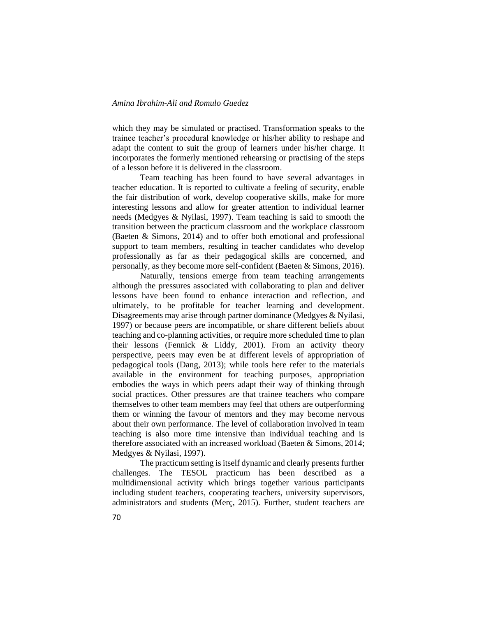which they may be simulated or practised. Transformation speaks to the trainee teacher's procedural knowledge or his/her ability to reshape and adapt the content to suit the group of learners under his/her charge. It incorporates the formerly mentioned rehearsing or practising of the steps of a lesson before it is delivered in the classroom.

Team teaching has been found to have several advantages in teacher education. It is reported to cultivate a feeling of security, enable the fair distribution of work, develop cooperative skills, make for more interesting lessons and allow for greater attention to individual learner needs (Medgyes & Nyilasi, 1997). Team teaching is said to smooth the transition between the practicum classroom and the workplace classroom (Baeten & Simons, 2014) and to offer both emotional and professional support to team members, resulting in teacher candidates who develop professionally as far as their pedagogical skills are concerned, and personally, as they become more self-confident (Baeten & Simons, 2016).

Naturally, tensions emerge from team teaching arrangements although the pressures associated with collaborating to plan and deliver lessons have been found to enhance interaction and reflection, and ultimately, to be profitable for teacher learning and development. Disagreements may arise through partner dominance (Medgyes & Nyilasi, 1997) or because peers are incompatible, or share different beliefs about teaching and co-planning activities, or require more scheduled time to plan their lessons (Fennick & Liddy, 2001). From an activity theory perspective, peers may even be at different levels of appropriation of pedagogical tools (Dang, 2013); while tools here refer to the materials available in the environment for teaching purposes, appropriation embodies the ways in which peers adapt their way of thinking through social practices. Other pressures are that trainee teachers who compare themselves to other team members may feel that others are outperforming them or winning the favour of mentors and they may become nervous about their own performance. The level of collaboration involved in team teaching is also more time intensive than individual teaching and is therefore associated with an increased workload (Baeten & Simons, 2014; Medgyes & Nyilasi, 1997).

The practicum setting is itself dynamic and clearly presents further challenges. The TESOL practicum has been described as a multidimensional activity which brings together various participants including student teachers, cooperating teachers, university supervisors, administrators and students (Merç, 2015). Further, student teachers are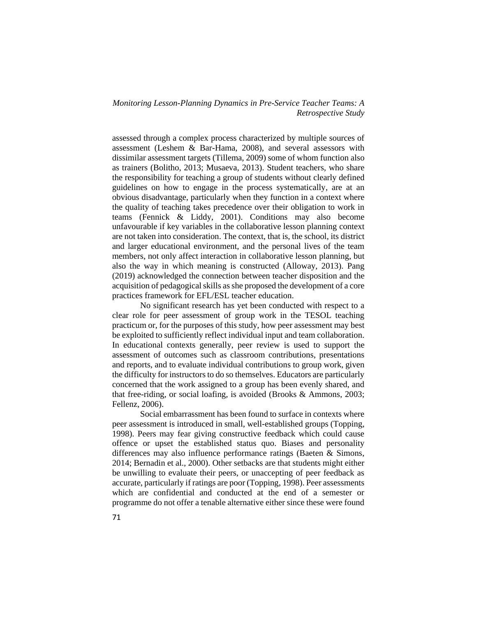assessed through a complex process characterized by multiple sources of assessment (Leshem & Bar-Hama, 2008), and several assessors with dissimilar assessment targets (Tillema, 2009) some of whom function also as trainers (Bolitho, 2013; Musaeva, 2013). Student teachers, who share the responsibility for teaching a group of students without clearly defined guidelines on how to engage in the process systematically, are at an obvious disadvantage, particularly when they function in a context where the quality of teaching takes precedence over their obligation to work in teams (Fennick & Liddy, 2001). Conditions may also become unfavourable if key variables in the collaborative lesson planning context are not taken into consideration. The context, that is, the school, its district and larger educational environment, and the personal lives of the team members, not only affect interaction in collaborative lesson planning, but also the way in which meaning is constructed (Alloway, 2013). Pang (2019) acknowledged the connection between teacher disposition and the acquisition of pedagogical skills as she proposed the development of a core practices framework for EFL/ESL teacher education.

No significant research has yet been conducted with respect to a clear role for peer assessment of group work in the TESOL teaching practicum or, for the purposes of this study, how peer assessment may best be exploited to sufficiently reflect individual input and team collaboration. In educational contexts generally, peer review is used to support the assessment of outcomes such as classroom contributions, presentations and reports, and to evaluate individual contributions to group work, given the difficulty for instructors to do so themselves. Educators are particularly concerned that the work assigned to a group has been evenly shared, and that free-riding, or social loafing, is avoided (Brooks & Ammons, 2003; Fellenz, 2006).

Social embarrassment has been found to surface in contexts where peer assessment is introduced in small, well-established groups (Topping, 1998). Peers may fear giving constructive feedback which could cause offence or upset the established status quo. Biases and personality differences may also influence performance ratings (Baeten & Simons, 2014; Bernadin et al., 2000). Other setbacks are that students might either be unwilling to evaluate their peers, or unaccepting of peer feedback as accurate, particularly if ratings are poor (Topping, 1998). Peer assessments which are confidential and conducted at the end of a semester or programme do not offer a tenable alternative either since these were found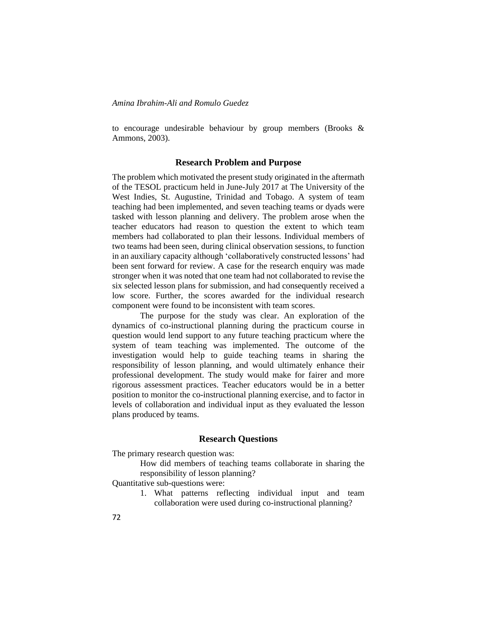to encourage undesirable behaviour by group members (Brooks & Ammons, 2003).

#### **Research Problem and Purpose**

The problem which motivated the present study originated in the aftermath of the TESOL practicum held in June-July 2017 at The University of the West Indies, St. Augustine, Trinidad and Tobago. A system of team teaching had been implemented, and seven teaching teams or dyads were tasked with lesson planning and delivery. The problem arose when the teacher educators had reason to question the extent to which team members had collaborated to plan their lessons. Individual members of two teams had been seen, during clinical observation sessions, to function in an auxiliary capacity although 'collaboratively constructed lessons' had been sent forward for review. A case for the research enquiry was made stronger when it was noted that one team had not collaborated to revise the six selected lesson plans for submission, and had consequently received a low score. Further, the scores awarded for the individual research component were found to be inconsistent with team scores.

The purpose for the study was clear. An exploration of the dynamics of co-instructional planning during the practicum course in question would lend support to any future teaching practicum where the system of team teaching was implemented. The outcome of the investigation would help to guide teaching teams in sharing the responsibility of lesson planning, and would ultimately enhance their professional development. The study would make for fairer and more rigorous assessment practices. Teacher educators would be in a better position to monitor the co-instructional planning exercise, and to factor in levels of collaboration and individual input as they evaluated the lesson plans produced by teams.

## **Research Questions**

The primary research question was:

How did members of teaching teams collaborate in sharing the responsibility of lesson planning?

Quantitative sub-questions were:

1. What patterns reflecting individual input and team collaboration were used during co-instructional planning?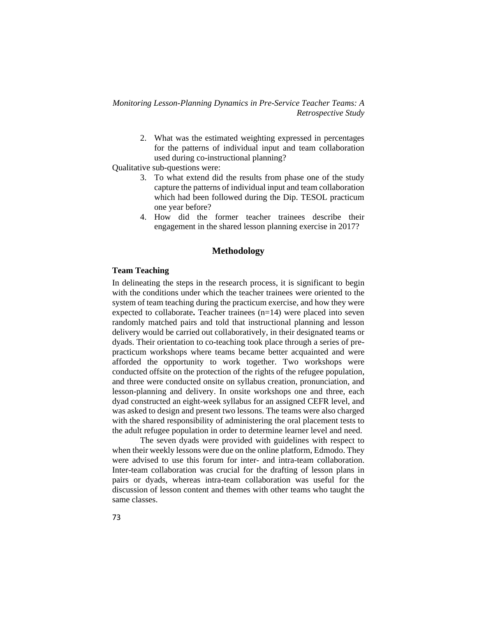> 2. What was the estimated weighting expressed in percentages for the patterns of individual input and team collaboration used during co-instructional planning?

Qualitative sub-questions were:

- 3. To what extend did the results from phase one of the study capture the patterns of individual input and team collaboration which had been followed during the Dip. TESOL practicum one year before?
- 4. How did the former teacher trainees describe their engagement in the shared lesson planning exercise in 2017?

## **Methodology**

# **Team Teaching**

In delineating the steps in the research process, it is significant to begin with the conditions under which the teacher trainees were oriented to the system of team teaching during the practicum exercise, and how they were expected to collaborate**.** Teacher trainees (n=14) were placed into seven randomly matched pairs and told that instructional planning and lesson delivery would be carried out collaboratively, in their designated teams or dyads. Their orientation to co-teaching took place through a series of prepracticum workshops where teams became better acquainted and were afforded the opportunity to work together. Two workshops were conducted offsite on the protection of the rights of the refugee population, and three were conducted onsite on syllabus creation, pronunciation, and lesson-planning and delivery. In onsite workshops one and three, each dyad constructed an eight-week syllabus for an assigned CEFR level, and was asked to design and present two lessons. The teams were also charged with the shared responsibility of administering the oral placement tests to the adult refugee population in order to determine learner level and need.

The seven dyads were provided with guidelines with respect to when their weekly lessons were due on the online platform, Edmodo. They were advised to use this forum for inter- and intra-team collaboration. Inter-team collaboration was crucial for the drafting of lesson plans in pairs or dyads, whereas intra-team collaboration was useful for the discussion of lesson content and themes with other teams who taught the same classes.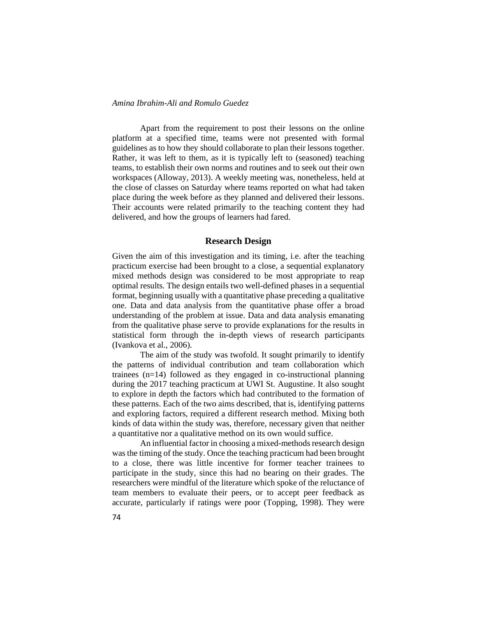Apart from the requirement to post their lessons on the online platform at a specified time, teams were not presented with formal guidelines as to how they should collaborate to plan their lessons together. Rather, it was left to them, as it is typically left to (seasoned) teaching teams, to establish their own norms and routines and to seek out their own workspaces (Alloway, 2013). A weekly meeting was, nonetheless, held at the close of classes on Saturday where teams reported on what had taken place during the week before as they planned and delivered their lessons. Their accounts were related primarily to the teaching content they had delivered, and how the groups of learners had fared.

# **Research Design**

Given the aim of this investigation and its timing, i.e. after the teaching practicum exercise had been brought to a close, a sequential explanatory mixed methods design was considered to be most appropriate to reap optimal results. The design entails two well-defined phases in a sequential format, beginning usually with a quantitative phase preceding a qualitative one. Data and data analysis from the quantitative phase offer a broad understanding of the problem at issue. Data and data analysis emanating from the qualitative phase serve to provide explanations for the results in statistical form through the in-depth views of research participants (Ivankova et al., 2006).

The aim of the study was twofold. It sought primarily to identify the patterns of individual contribution and team collaboration which trainees (n=14) followed as they engaged in co-instructional planning during the 2017 teaching practicum at UWI St. Augustine. It also sought to explore in depth the factors which had contributed to the formation of these patterns. Each of the two aims described, that is, identifying patterns and exploring factors, required a different research method. Mixing both kinds of data within the study was, therefore, necessary given that neither a quantitative nor a qualitative method on its own would suffice.

An influential factor in choosing a mixed-methods research design was the timing of the study. Once the teaching practicum had been brought to a close, there was little incentive for former teacher trainees to participate in the study, since this had no bearing on their grades. The researchers were mindful of the literature which spoke of the reluctance of team members to evaluate their peers, or to accept peer feedback as accurate, particularly if ratings were poor (Topping, 1998). They were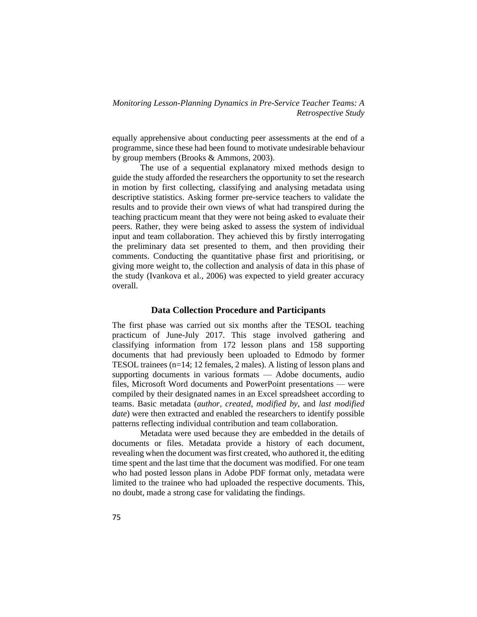equally apprehensive about conducting peer assessments at the end of a programme, since these had been found to motivate undesirable behaviour by group members (Brooks & Ammons, 2003).

The use of a sequential explanatory mixed methods design to guide the study afforded the researchers the opportunity to set the research in motion by first collecting, classifying and analysing metadata using descriptive statistics. Asking former pre-service teachers to validate the results and to provide their own views of what had transpired during the teaching practicum meant that they were not being asked to evaluate their peers. Rather, they were being asked to assess the system of individual input and team collaboration. They achieved this by firstly interrogating the preliminary data set presented to them, and then providing their comments. Conducting the quantitative phase first and prioritising, or giving more weight to, the collection and analysis of data in this phase of the study (Ivankova et al., 2006) was expected to yield greater accuracy overall.

#### **Data Collection Procedure and Participants**

The first phase was carried out six months after the TESOL teaching practicum of June-July 2017. This stage involved gathering and classifying information from 172 lesson plans and 158 supporting documents that had previously been uploaded to Edmodo by former TESOL trainees (n=14; 12 females, 2 males). A listing of lesson plans and supporting documents in various formats — Adobe documents, audio files, Microsoft Word documents and PowerPoint presentations — were compiled by their designated names in an Excel spreadsheet according to teams. Basic metadata (*author*, *created*, *modified by*, and *last modified date*) were then extracted and enabled the researchers to identify possible patterns reflecting individual contribution and team collaboration.

Metadata were used because they are embedded in the details of documents or files. Metadata provide a history of each document, revealing when the document was first created, who authored it, the editing time spent and the last time that the document was modified. For one team who had posted lesson plans in Adobe PDF format only, metadata were limited to the trainee who had uploaded the respective documents. This, no doubt, made a strong case for validating the findings.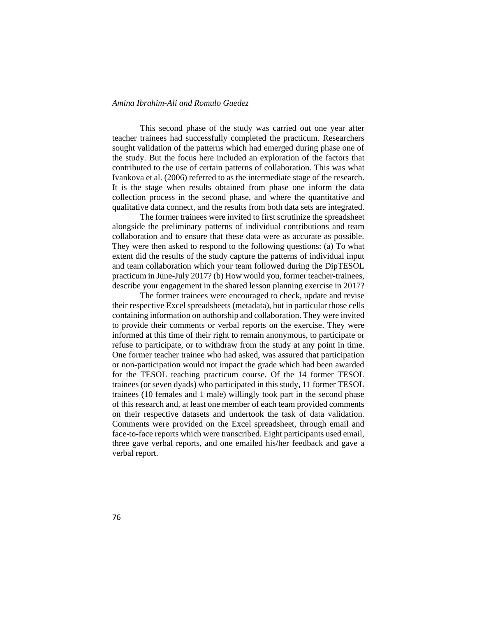This second phase of the study was carried out one year after teacher trainees had successfully completed the practicum. Researchers sought validation of the patterns which had emerged during phase one of the study. But the focus here included an exploration of the factors that contributed to the use of certain patterns of collaboration. This was what Ivankova et al. (2006) referred to as the intermediate stage of the research. It is the stage when results obtained from phase one inform the data collection process in the second phase, and where the quantitative and qualitative data connect, and the results from both data sets are integrated.

The former trainees were invited to first scrutinize the spreadsheet alongside the preliminary patterns of individual contributions and team collaboration and to ensure that these data were as accurate as possible. They were then asked to respond to the following questions: (a) To what extent did the results of the study capture the patterns of individual input and team collaboration which your team followed during the DipTESOL practicum in June-July 2017? (b) How would you, former teacher-trainees, describe your engagement in the shared lesson planning exercise in 2017?

The former trainees were encouraged to check, update and revise their respective Excel spreadsheets (metadata), but in particular those cells containing information on authorship and collaboration. They were invited to provide their comments or verbal reports on the exercise. They were informed at this time of their right to remain anonymous, to participate or refuse to participate, or to withdraw from the study at any point in time. One former teacher trainee who had asked, was assured that participation or non-participation would not impact the grade which had been awarded for the TESOL teaching practicum course. Of the 14 former TESOL trainees (or seven dyads) who participated in this study, 11 former TESOL trainees (10 females and 1 male) willingly took part in the second phase of this research and, at least one member of each team provided comments on their respective datasets and undertook the task of data validation. Comments were provided on the Excel spreadsheet, through email and face-to-face reports which were transcribed. Eight participants used email, three gave verbal reports, and one emailed his/her feedback and gave a verbal report.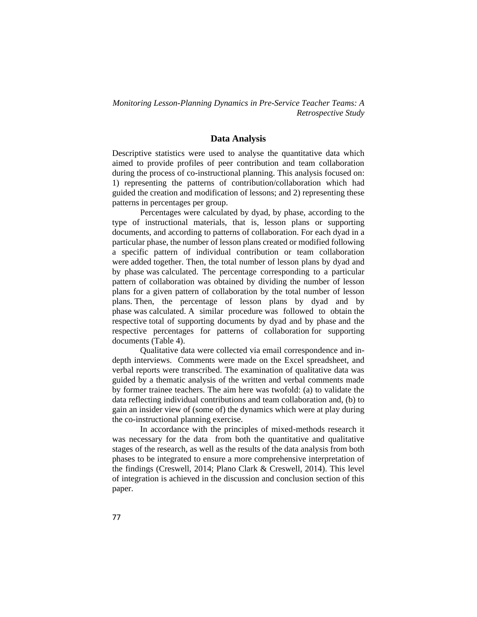#### **Data Analysis**

Descriptive statistics were used to analyse the quantitative data which aimed to provide profiles of peer contribution and team collaboration during the process of co-instructional planning. This analysis focused on: 1) representing the patterns of contribution/collaboration which had guided the creation and modification of lessons; and 2) representing these patterns in percentages per group.

Percentages were calculated by dyad, by phase, according to the type of instructional materials, that is, lesson plans or supporting documents, and according to patterns of collaboration. For each dyad in a particular phase, the number of lesson plans created or modified following a specific pattern of individual contribution or team collaboration were added together. Then, the total number of lesson plans by dyad and by phase was calculated. The percentage corresponding to a particular pattern of collaboration was obtained by dividing the number of lesson plans for a given pattern of collaboration by the total number of lesson plans. Then, the percentage of lesson plans by dyad and by phase was calculated. A similar procedure was followed to obtain the respective total of supporting documents by dyad and by phase and the respective percentages for patterns of collaboration for supporting documents (Table 4).

Qualitative data were collected via email correspondence and indepth interviews. Comments were made on the Excel spreadsheet, and verbal reports were transcribed. The examination of qualitative data was guided by a thematic analysis of the written and verbal comments made by former trainee teachers. The aim here was twofold: (a) to validate the data reflecting individual contributions and team collaboration and, (b) to gain an insider view of (some of) the dynamics which were at play during the co-instructional planning exercise.

In accordance with the principles of mixed-methods research it was necessary for the data from both the quantitative and qualitative stages of the research, as well as the results of the data analysis from both phases to be integrated to ensure a more comprehensive interpretation of the findings (Creswell, 2014; Plano Clark & Creswell, 2014). This level of integration is achieved in the discussion and conclusion section of this paper.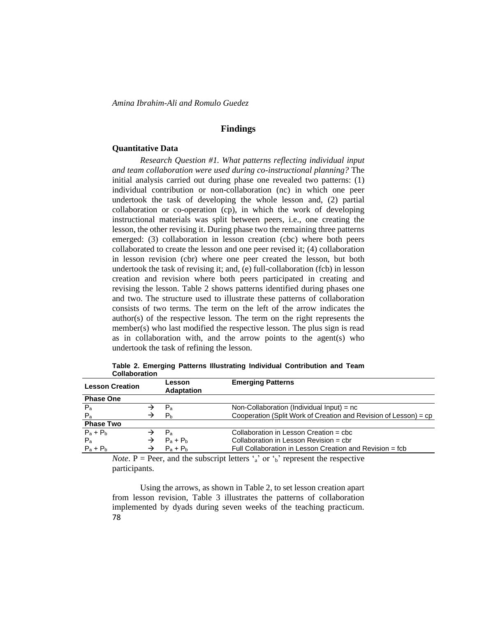# **Findings**

#### **Quantitative Data**

*Research Question #1. What patterns reflecting individual input and team collaboration were used during co-instructional planning?* The initial analysis carried out during phase one revealed two patterns: (1) individual contribution or non-collaboration (nc) in which one peer undertook the task of developing the whole lesson and, (2) partial collaboration or co-operation (cp), in which the work of developing instructional materials was split between peers, i.e., one creating the lesson, the other revising it. During phase two the remaining three patterns emerged: (3) collaboration in lesson creation (cbc) where both peers collaborated to create the lesson and one peer revised it; (4) collaboration in lesson revision (cbr) where one peer created the lesson, but both undertook the task of revising it; and, (e) full-collaboration (fcb) in lesson creation and revision where both peers participated in creating and revising the lesson. Table 2 shows patterns identified during phases one and two. The structure used to illustrate these patterns of collaboration consists of two terms. The term on the left of the arrow indicates the author(s) of the respective lesson. The term on the right represents the member(s) who last modified the respective lesson. The plus sign is read as in collaboration with, and the arrow points to the agent(s) who undertook the task of refining the lesson.

| <b>VVIIUVVIUUVII</b>   |   |                             |                                                                  |
|------------------------|---|-----------------------------|------------------------------------------------------------------|
| <b>Lesson Creation</b> |   | Lesson<br><b>Adaptation</b> | <b>Emerging Patterns</b>                                         |
| <b>Phase One</b>       |   |                             |                                                                  |
| $P_{a}$                |   | $P_{a}$                     | Non-Collaboration (Individual Input) = $nc$                      |
| $P_{a}$                |   | P <sub>b</sub>              | Cooperation (Split Work of Creation and Revision of Lesson) = cp |
| <b>Phase Two</b>       |   |                             |                                                                  |
| $P_a + P_b$            |   | $P_{\rm a}$                 | Collaboration in Lesson Creation = cbc                           |
| $P_{a}$                | → | $P_a + P_b$                 | Collaboration in Lesson Revision = cbr                           |
| $P_a + P_b$            | → | $P_a + P_b$                 | Full Collaboration in Lesson Creation and Revision = fcb         |

**Table 2. Emerging Patterns Illustrating Individual Contribution and Team Collaboration**

*Note*. P = Peer, and the subscript letters  $\alpha$ <sup>3</sup> or  $\beta$ <sup>5</sup> represent the respective participants.

78 Using the arrows, as shown in Table 2, to set lesson creation apart from lesson revision, Table 3 illustrates the patterns of collaboration implemented by dyads during seven weeks of the teaching practicum.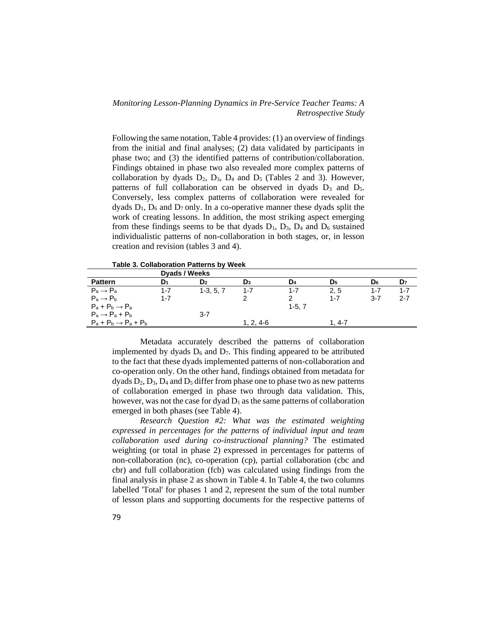Following the same notation, Table 4 provides: (1) an overview of findings from the initial and final analyses; (2) data validated by participants in phase two; and (3) the identified patterns of contribution/collaboration. Findings obtained in phase two also revealed more complex patterns of collaboration by dyads  $D_2$ ,  $D_3$ ,  $D_4$  and  $D_5$  (Tables 2 and 3). However, patterns of full collaboration can be observed in dyads  $D_3$  and  $D_5$ . Conversely, less complex patterns of collaboration were revealed for dyads  $D_1$ ,  $D_6$  and  $D_7$  only. In a co-operative manner these dyads split the work of creating lessons. In addition, the most striking aspect emerging from these findings seems to be that dyads  $D_1$ ,  $D_3$ ,  $D_4$  and  $D_6$  sustained individualistic patterns of non-collaboration in both stages, or, in lesson creation and revision (tables 3 and 4).

**Table 3. Collaboration Patterns by Week**

|                                   | Dyads / Weeks |                |             |         |                |                |                |
|-----------------------------------|---------------|----------------|-------------|---------|----------------|----------------|----------------|
| <b>Pattern</b>                    | D1            | D <sub>2</sub> | $D_3$       | D4      | D <sub>5</sub> | D <sub>6</sub> | D <sub>7</sub> |
| $P_a \rightarrow P_a$             | 1-7           | $1-3, 5, 7$    | $1 - 7$     | $1 - 7$ | 2.5            | 1-7            | 1-7            |
| $P_a \rightarrow P_b$             | $1 - 7$       |                |             |         | $1 - 7$        | $3 - 7$        | $2 - 7$        |
| $P_a + P_b \rightarrow P_a$       |               |                |             | $1-5.7$ |                |                |                |
| $P_a \rightarrow P_a + P_b$       |               | $3 - 7$        |             |         |                |                |                |
| $P_a + P_b \rightarrow P_a + P_b$ |               |                | $1, 2, 4-6$ |         | 1. 4-7         |                |                |

Metadata accurately described the patterns of collaboration implemented by dyads  $D_6$  and  $D_7$ . This finding appeared to be attributed to the fact that these dyads implemented patterns of non-collaboration and co-operation only. On the other hand, findings obtained from metadata for dyads  $D_2$ ,  $D_3$ ,  $D_4$  and  $D_5$  differ from phase one to phase two as new patterns of collaboration emerged in phase two through data validation. This, however, was not the case for dyad  $D_1$  as the same patterns of collaboration emerged in both phases (see Table 4).

*Research Question #2: What was the estimated weighting expressed in percentages for the patterns of individual input and team collaboration used during co-instructional planning?* The estimated weighting (or total in phase 2) expressed in percentages for patterns of non-collaboration (nc), co-operation (cp), partial collaboration (cbc and cbr) and full collaboration (fcb) was calculated using findings from the final analysis in phase 2 as shown in Table 4. In Table 4, the two columns labelled 'Total' for phases 1 and 2, represent the sum of the total number of lesson plans and supporting documents for the respective patterns of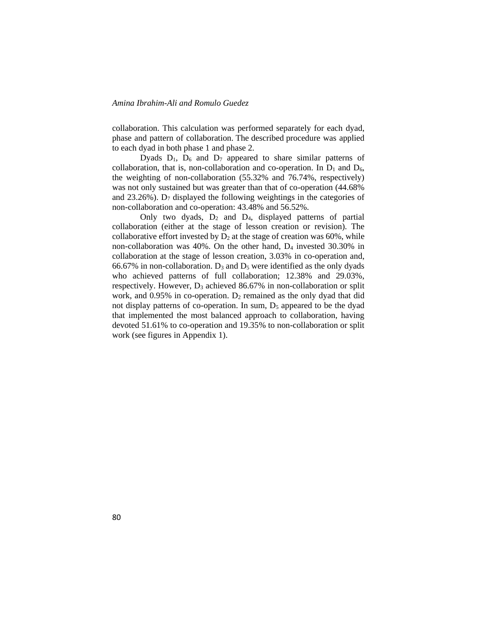collaboration. This calculation was performed separately for each dyad, phase and pattern of collaboration. The described procedure was applied to each dyad in both phase 1 and phase 2.

Dyads  $D_1$ ,  $D_6$  and  $D_7$  appeared to share similar patterns of collaboration, that is, non-collaboration and co-operation. In  $D_1$  and  $D_6$ , the weighting of non-collaboration (55.32% and 76.74%, respectively) was not only sustained but was greater than that of co-operation (44.68% and  $23.26\%$ ). D<sub>7</sub> displayed the following weightings in the categories of non-collaboration and co-operation: 43.48% and 56.52%.

Only two dyads,  $D_2$  and  $D_4$ , displayed patterns of partial collaboration (either at the stage of lesson creation or revision). The collaborative effort invested by  $D_2$  at the stage of creation was 60%, while non-collaboration was 40%. On the other hand, D<sup>4</sup> invested 30.30% in collaboration at the stage of lesson creation, 3.03% in co-operation and, 66.67% in non-collaboration.  $D_3$  and  $D_5$  were identified as the only dyads who achieved patterns of full collaboration; 12.38% and 29.03%, respectively. However,  $D_3$  achieved 86.67% in non-collaboration or split work, and  $0.95\%$  in co-operation.  $D_2$  remained as the only dyad that did not display patterns of co-operation. In sum,  $D_5$  appeared to be the dyad that implemented the most balanced approach to collaboration, having devoted 51.61% to co-operation and 19.35% to non-collaboration or split work (see figures in Appendix 1).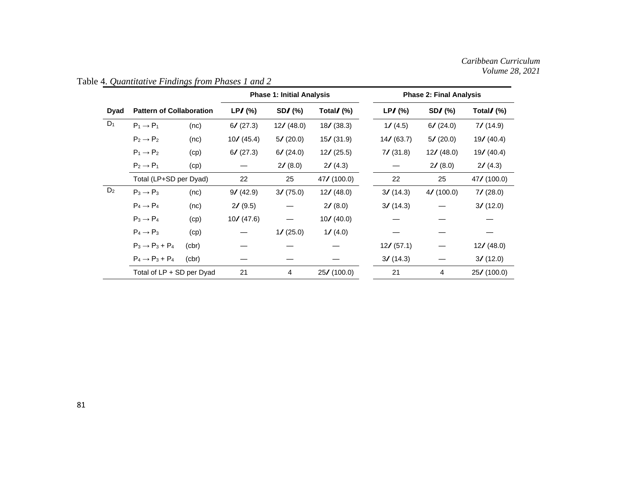|                |                                 |       |             | <b>Phase 1: Initial Analysis</b> |             |            | <b>Phase 2: Final Analysis</b> |                         |  |  |
|----------------|---------------------------------|-------|-------------|----------------------------------|-------------|------------|--------------------------------|-------------------------|--|--|
| Dyad           | <b>Pattern of Collaboration</b> |       | $LPJ$ (%)   | $SDZ$ (%)                        | Total/(%)   | $LP/$ (%)  | $SDZ$ (%)                      | Total $\mathcal{N}(% )$ |  |  |
| $D_1$          | $P_1 \rightarrow P_1$           | (nc)  | 6/ (27.3)   | 12/ (48.0)                       | 18/ (38.3)  | 1/(4.5)    | 6/ (24.0)                      | $7/$ (14.9)             |  |  |
|                | $P_2 \rightarrow P_2$           | (nc)  | 10/ (45.4)  | 5/ (20.0)                        | 15/ (31.9)  | 14/ (63.7) | 5/ (20.0)                      | 19/ (40.4)              |  |  |
|                | $P_1 \rightarrow P_2$           | (cp)  | 6/ (27.3)   | 6/ (24.0)                        | 12/ (25.5)  | 7/ (31.8)  | 12/ (48.0)                     | 19/ (40.4)              |  |  |
|                | $P_2 \rightarrow P_1$           | (cp)  |             | $2/$ (8.0)                       | 2/ (4.3)    |            | 2/ (8.0)                       | 2/ (4.3)                |  |  |
|                | Total (LP+SD per Dyad)          |       | 22          | 25                               | 47/ (100.0) | 22         | 25                             | $47/$ (100.0)           |  |  |
| D <sub>2</sub> | $P_3 \rightarrow P_3$           | (nc)  | 9/ (42.9)   | 3/ (75.0)                        | 12/ (48.0)  | 3/ (14.3)  | 4/ (100.0)                     | $7/$ (28.0)             |  |  |
|                | $P_4 \rightarrow P_4$           | (nc)  | $2/$ (9.5)  |                                  | $2/$ (8.0)  | 3/ (14.3)  |                                | 3/ (12.0)               |  |  |
|                | $P_3 \rightarrow P_4$           | (cp)  | 10 / (47.6) |                                  | 10/ (40.0)  |            |                                |                         |  |  |
|                | $P_4 \rightarrow P_3$           | (cp)  |             | $1/$ (25.0)                      | 1/(4.0)     |            |                                |                         |  |  |
|                | $P_3 \rightarrow P_3 + P_4$     | (br)  |             |                                  |             | 12/ (57.1) |                                | 12/ (48.0)              |  |  |
|                | $P_4 \rightarrow P_3 + P_4$     | (cbr) |             |                                  |             | 3/ (14.3)  |                                | 3/ (12.0)               |  |  |
|                | Total of LP + SD per Dyad       |       | 21          | 4                                | 25/ (100.0) | 21         | 4                              | 25/ (100.0)             |  |  |

Table 4. *Quantitative Findings from Phases 1 and 2*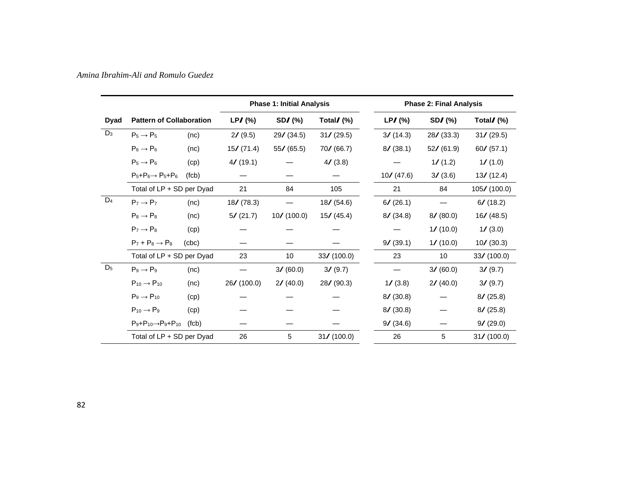|             |                                         |       | <b>Phase 1: Initial Analysis</b> |               |                         | <b>Phase 2: Final Analysis</b> |            |                         |  |  |
|-------------|-----------------------------------------|-------|----------------------------------|---------------|-------------------------|--------------------------------|------------|-------------------------|--|--|
| <b>Dyad</b> | <b>Pattern of Collaboration</b>         |       | $LP/$ (%)                        | $SDZ$ (%)     | Total $\mathcal{J}(\%)$ | $LP/$ (%)                      | $SD/(\%)$  | Total $\mathcal{N}(% )$ |  |  |
| $D_3$       | $P_5 \rightarrow P_5$                   | (nc)  | 2/(9.5)                          | 29/ (34.5)    | 31/ (29.5)              | 3/ (14.3)                      | 28/ (33.3) | 31/ (29.5)              |  |  |
|             | $P_6 \rightarrow P_6$                   | (nc)  | 15/ (71.4)                       | 55/ (65.5)    | 70/ (66.7)              | 8/ (38.1)                      | 52/ (61.9) | 60 / (57.1)             |  |  |
|             | $P_5 \rightarrow P_6$                   | (cp)  | $4/$ (19.1)                      |               | 4/(3.8)                 |                                | 1/ (1.2)   | 1/ (1.0)                |  |  |
|             | $P_5+P_6 \rightarrow P_5+P_6$           | (fcb) |                                  |               |                         | 10/(47.6)                      | 3/ (3.6)   | 13/ (12.4)              |  |  |
|             | Total of LP + SD per Dyad               |       | 21                               | 84            | 105                     | 21                             | 84         | $105/$ (100.0)          |  |  |
| $D_4$       | $P_7 \rightarrow P_7$                   | (nc)  | 18/ (78.3)                       |               | 18/(54.6)               | 6/ (26.1)                      |            | 6/ (18.2)               |  |  |
|             | $Ps \rightarrow Ps$                     | (nc)  | 5/ (21.7)                        | $10/$ (100.0) | 15/ (45.4)              | 8/ (34.8)                      | 8/ (80.0)  | 16/ (48.5)              |  |  |
|             | $P_7 \rightarrow P_8$                   | (cp)  |                                  |               |                         |                                | 1/ (10.0)  | 1/(3.0)                 |  |  |
|             | $P_7 + P_8 \rightarrow P_8$             | (abc) |                                  |               |                         | 9/ (39.1)                      | 1/ (10.0)  | $10/$ (30.3)            |  |  |
|             | Total of LP + SD per Dyad               |       | 23                               | 10            | 33/ (100.0)             | 23                             | 10         | 33/ (100.0)             |  |  |
| $D_5$       | $P_9 \rightarrow P_9$                   | (nc)  |                                  | 3/ (60.0)     | 3/ (9.7)                |                                | 3/ (60.0)  | 3/ (9.7)                |  |  |
|             | $P_{10} \rightarrow P_{10}$             | (nc)  | 26/ (100.0)                      | 2/(40.0)      | 28/ (90.3)              | 1/(3.8)                        | 2/ (40.0)  | 3/ (9.7)                |  |  |
|             | $P_9 \rightarrow P_{10}$                | (cp)  |                                  |               |                         | 8/ (30.8)                      |            | 8/ (25.8)               |  |  |
|             | $P_{10} \rightarrow P_9$                | (cp)  |                                  |               |                         | 8/ (30.8)                      |            | 8/ (25.8)               |  |  |
|             | $P_9 + P_{10} \rightarrow P_9 + P_{10}$ | (fcb) |                                  |               |                         | 9/ (34.6)                      |            | 9/ (29.0)               |  |  |
|             | Total of LP + SD per Dyad               |       | 26                               | 5             | 31/ (100.0)             | 26                             | 5          | 31/ (100.0)             |  |  |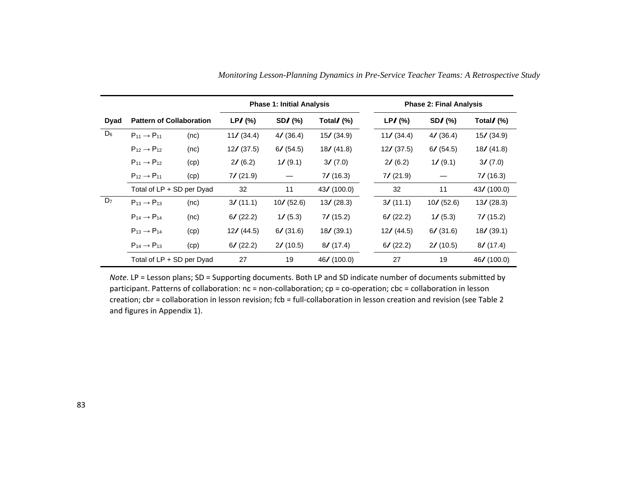|                |                                                                            |      | <b>Phase 1: Initial Analysis</b> |                                      |             |  | <b>Phase 2: Final Analysis</b> |              |                         |  |
|----------------|----------------------------------------------------------------------------|------|----------------------------------|--------------------------------------|-------------|--|--------------------------------|--------------|-------------------------|--|
| <b>Dyad</b>    | <b>Pattern of Collaboration</b>                                            |      | $LPJ$ (%)                        | $SDZ$ (%)<br>Total $\mathcal{N}(% )$ |             |  | $LP/$ (%)                      | $SDZ$ (%)    | Total $\mathcal{N}(% )$ |  |
| $D_6$          | $P_{11} \rightarrow P_{11}$<br>(nc)                                        |      | 11/ (34.4)                       | 4/ (36.4)                            | 15/ (34.9)  |  | 11/ (34.4)                     | 4/ (36.4)    | 15/ (34.9)              |  |
|                | $P_{12} \rightarrow P_{12}$                                                | (nc) | $12/$ (37.5)                     | 6/ (54.5)                            | 18/ (41.8)  |  | 12/ (37.5)                     | 6/ (54.5)    | 18/(41.8)               |  |
|                | $P_{11} \rightarrow P_{12}$                                                | (cp) | 2/ (6.2)                         | 1/ (9.1)                             | 3/ (7.0)    |  | 2/ (6.2)                       | 1/ (9.1)     | 3/ (7.0)                |  |
|                | $P_{12} \rightarrow P_{11}$                                                | (cp) | $7/$ (21.9)                      |                                      | $7/$ (16.3) |  | 7/ (21.9)                      |              | $7/$ (16.3)             |  |
|                | Total of LP + SD per Dyad                                                  |      | 32                               | 11                                   | 43/(100.0)  |  | 32                             | 11           | 43/ (100.0)             |  |
| D <sub>7</sub> | $P_{13} \rightarrow P_{13}$                                                | (nc) | 3/ (11.1)                        | $10/$ (52.6)                         | 13/ (28.3)  |  | 3/ (11.1)                      | $10/$ (52.6) | 13/ (28.3)              |  |
|                | $P_{14} \rightarrow P_{14}$<br>(nc)                                        |      | 6/ (22.2)                        | 1/ (5.3)                             | $7/$ (15.2) |  | 6/ (22.2)                      | 1/ (5.3)     | $7/$ (15.2)             |  |
|                | $P_{13} \rightarrow P_{14}$<br>(cp)<br>$P_{14} \rightarrow P_{13}$<br>(cp) |      | 12/ (44.5)                       | 6/ (31.6)                            | 18/ (39.1)  |  |                                | 6/ (31.6)    | 18/ (39.1)              |  |
|                |                                                                            |      | 6/ (22.2)                        | 2/ (10.5)                            | 8/ (17.4)   |  | 6/ (22.2)                      | 2/ (10.5)    | 8/ (17.4)               |  |
|                | Total of LP + SD per Dyad                                                  |      | 27                               | 19                                   | 46/ (100.0) |  | 27                             | 19           | 46/ (100.0)             |  |

*Monitoring Lesson-Planning Dynamics in Pre-Service Teacher Teams: A Retrospective Study*

*Note*. LP = Lesson plans; SD = Supporting documents. Both LP and SD indicate number of documents submitted by participant. Patterns of collaboration: nc = non-collaboration; cp = co-operation; cbc = collaboration in lesson creation; cbr = collaboration in lesson revision; fcb = full-collaboration in lesson creation and revision (see Table 2 and figures in Appendix 1).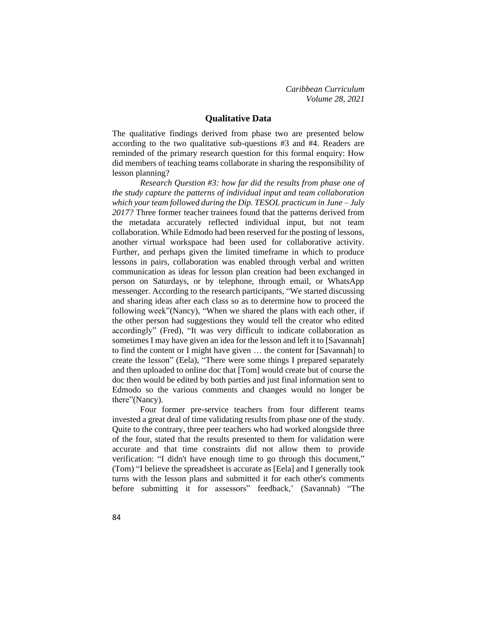*Caribbean Curriculum Volume 28, 2021*

#### **Qualitative Data**

The qualitative findings derived from phase two are presented below according to the two qualitative sub-questions #3 and #4. Readers are reminded of the primary research question for this formal enquiry: How did members of teaching teams collaborate in sharing the responsibility of lesson planning?

*Research Question #3: how far did the results from phase one of the study capture the patterns of individual input and team collaboration which your team followed during the Dip. TESOL practicum in June – July 2017?* Three former teacher trainees found that the patterns derived from the metadata accurately reflected individual input, but not team collaboration. While Edmodo had been reserved for the posting of lessons, another virtual workspace had been used for collaborative activity. Further, and perhaps given the limited timeframe in which to produce lessons in pairs, collaboration was enabled through verbal and written communication as ideas for lesson plan creation had been exchanged in person on Saturdays, or by telephone, through email, or WhatsApp messenger. According to the research participants, "We started discussing and sharing ideas after each class so as to determine how to proceed the following week"(Nancy), "When we shared the plans with each other, if the other person had suggestions they would tell the creator who edited accordingly" (Fred), "It was very difficult to indicate collaboration as sometimes I may have given an idea for the lesson and left it to [Savannah] to find the content or I might have given … the content for [Savannah] to create the lesson" (Eela), "There were some things I prepared separately and then uploaded to online doc that [Tom] would create but of course the doc then would be edited by both parties and just final information sent to Edmodo so the various comments and changes would no longer be there"(Nancy).

Four former pre-service teachers from four different teams invested a great deal of time validating results from phase one of the study. Quite to the contrary, three peer teachers who had worked alongside three of the four, stated that the results presented to them for validation were accurate and that time constraints did not allow them to provide verification: "I didn't have enough time to go through this document," (Tom) "I believe the spreadsheet is accurate as [Eela] and I generally took turns with the lesson plans and submitted it for each other's comments before submitting it for assessors" feedback,' (Savannah) "The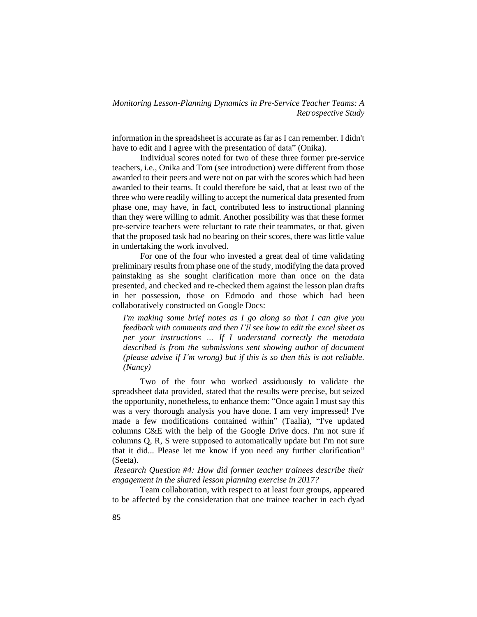information in the spreadsheet is accurate as far as I can remember. I didn't have to edit and I agree with the presentation of data" (Onika).

Individual scores noted for two of these three former pre-service teachers, i.e., Onika and Tom (see introduction) were different from those awarded to their peers and were not on par with the scores which had been awarded to their teams. It could therefore be said, that at least two of the three who were readily willing to accept the numerical data presented from phase one, may have, in fact, contributed less to instructional planning than they were willing to admit. Another possibility was that these former pre-service teachers were reluctant to rate their teammates, or that, given that the proposed task had no bearing on their scores, there was little value in undertaking the work involved.

For one of the four who invested a great deal of time validating preliminary results from phase one of the study, modifying the data proved painstaking as she sought clarification more than once on the data presented, and checked and re-checked them against the lesson plan drafts in her possession, those on Edmodo and those which had been collaboratively constructed on Google Docs:

*I'm making some brief notes as I go along so that I can give you feedback with comments and then I'll see how to edit the excel sheet as per your instructions … If I understand correctly the metadata described is from the submissions sent showing author of document (please advise if I'm wrong) but if this is so then this is not reliable. (Nancy)*

Two of the four who worked assiduously to validate the spreadsheet data provided, stated that the results were precise, but seized the opportunity, nonetheless, to enhance them: "Once again I must say this was a very thorough analysis you have done. I am very impressed! I've made a few modifications contained within" (Taalia), "I've updated columns C&E with the help of the Google Drive docs. I'm not sure if columns Q, R, S were supposed to automatically update but I'm not sure that it did... Please let me know if you need any further clarification" (Seeta).

*Research Question #4: How did former teacher trainees describe their engagement in the shared lesson planning exercise in 2017?*

Team collaboration, with respect to at least four groups, appeared to be affected by the consideration that one trainee teacher in each dyad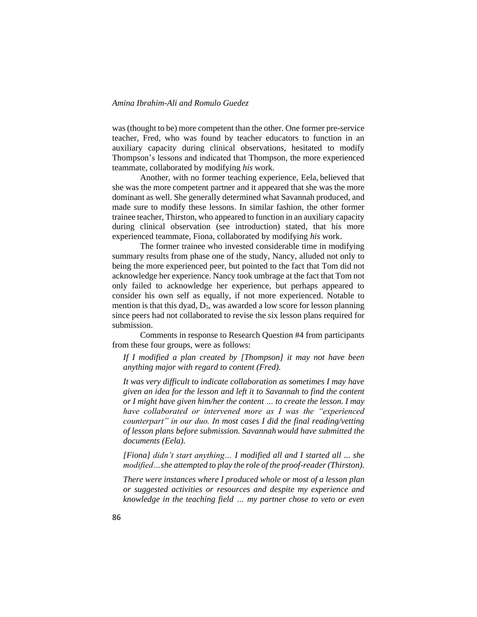was (thought to be) more competent than the other. One former pre-service teacher, Fred, who was found by teacher educators to function in an auxiliary capacity during clinical observations, hesitated to modify Thompson's lessons and indicated that Thompson, the more experienced teammate, collaborated by modifying *his* work.

Another, with no former teaching experience, Eela, believed that she was the more competent partner and it appeared that she was the more dominant as well. She generally determined what Savannah produced, and made sure to modify these lessons. In similar fashion, the other former trainee teacher, Thirston, who appeared to function in an auxiliary capacity during clinical observation (see introduction) stated, that his more experienced teammate, Fiona, collaborated by modifying *his* work.

The former trainee who invested considerable time in modifying summary results from phase one of the study, Nancy, alluded not only to being the more experienced peer, but pointed to the fact that Tom did not acknowledge her experience. Nancy took umbrage at the fact that Tom not only failed to acknowledge her experience, but perhaps appeared to consider his own self as equally, if not more experienced. Notable to mention is that this dyad,  $D_5$ , was awarded a low score for lesson planning since peers had not collaborated to revise the six lesson plans required for submission.

Comments in response to Research Question #4 from participants from these four groups, were as follows:

*If I modified a plan created by [Thompson] it may not have been anything major with regard to content (Fred).*

*It was very difficult to indicate collaboration as sometimes I may have given an idea for the lesson and left it to Savannah to find the content or I might have given him/her the content … to create the lesson. I may have collaborated or intervened more as I was the "experienced counterpart" in our duo. In most cases I did the final reading/vetting of lesson plans before submission. Savannahwould have submitted the documents (Eela).*

*[Fiona] didn't start anything… I modified all and I started all ... she modified…she attempted to play the role of the proof-reader(Thirston).*

*There were instances where I produced whole or most of a lesson plan or suggested activities or resources and despite my experience and knowledge in the teaching field … my partner chose to veto or even*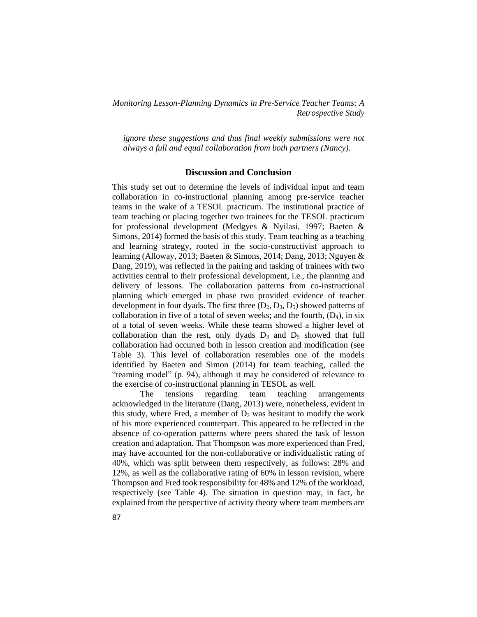*ignore these suggestions and thus final weekly submissions were not always a full and equal collaboration from both partners (Nancy).*

# **Discussion and Conclusion**

This study set out to determine the levels of individual input and team collaboration in co-instructional planning among pre-service teacher teams in the wake of a TESOL practicum. The institutional practice of team teaching or placing together two trainees for the TESOL practicum for professional development (Medgyes & Nyilasi, 1997; Baeten & Simons, 2014) formed the basis of this study. Team teaching as a teaching and learning strategy, rooted in the socio-constructivist approach to learning (Alloway, 2013; Baeten & Simons, 2014; Dang, 2013; Nguyen & Dang, 2019), was reflected in the pairing and tasking of trainees with two activities central to their professional development, i.e., the planning and delivery of lessons. The collaboration patterns from co-instructional planning which emerged in phase two provided evidence of teacher development in four dyads. The first three  $(D_2, D_3, D_5)$  showed patterns of collaboration in five of a total of seven weeks; and the fourth,  $(D_4)$ , in six of a total of seven weeks. While these teams showed a higher level of collaboration than the rest, only dyads  $D_3$  and  $D_5$  showed that full collaboration had occurred both in lesson creation and modification (see Table 3). This level of collaboration resembles one of the models identified by Baeten and Simon (2014) for team teaching, called the "teaming model" (p. 94), although it may be considered of relevance to the exercise of co-instructional planning in TESOL as well.

The tensions regarding team teaching arrangements acknowledged in the literature (Dang, 2013) were, nonetheless, evident in this study, where Fred, a member of  $D_2$  was hesitant to modify the work of his more experienced counterpart. This appeared to be reflected in the absence of co-operation patterns where peers shared the task of lesson creation and adaptation. That Thompson was more experienced than Fred, may have accounted for the non-collaborative or individualistic rating of 40%, which was split between them respectively, as follows: 28% and 12%, as well as the collaborative rating of 60% in lesson revision, where Thompson and Fred took responsibility for 48% and 12% of the workload, respectively (see Table 4). The situation in question may, in fact, be explained from the perspective of activity theory where team members are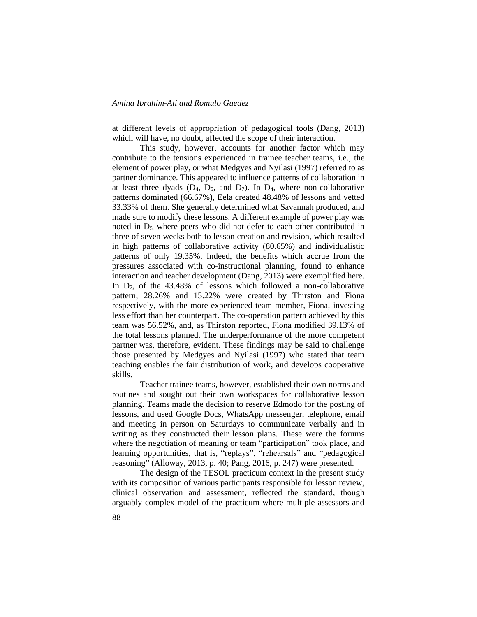at different levels of appropriation of pedagogical tools (Dang, 2013) which will have, no doubt, affected the scope of their interaction.

This study, however, accounts for another factor which may contribute to the tensions experienced in trainee teacher teams, i.e., the element of power play, or what Medgyes and Nyilasi (1997) referred to as partner dominance. This appeared to influence patterns of collaboration in at least three dyads  $(D_4, D_5, and D_7)$ . In  $D_4$ , where non-collaborative patterns dominated (66.67%), Eela created 48.48% of lessons and vetted 33.33% of them. She generally determined what Savannah produced, and made sure to modify these lessons. A different example of power play was noted in  $D_5$ , where peers who did not defer to each other contributed in three of seven weeks both to lesson creation and revision, which resulted in high patterns of collaborative activity (80.65%) and individualistic patterns of only 19.35%. Indeed, the benefits which accrue from the pressures associated with co-instructional planning, found to enhance interaction and teacher development (Dang, 2013) were exemplified here. In  $D_7$ , of the 43.48% of lessons which followed a non-collaborative pattern, 28.26% and 15.22% were created by Thirston and Fiona respectively, with the more experienced team member, Fiona, investing less effort than her counterpart. The co-operation pattern achieved by this team was 56.52%, and, as Thirston reported, Fiona modified 39.13% of the total lessons planned. The underperformance of the more competent partner was, therefore, evident. These findings may be said to challenge those presented by Medgyes and Nyilasi (1997) who stated that team teaching enables the fair distribution of work, and develops cooperative skills.

Teacher trainee teams, however, established their own norms and routines and sought out their own workspaces for collaborative lesson planning. Teams made the decision to reserve Edmodo for the posting of lessons, and used Google Docs, WhatsApp messenger, telephone, email and meeting in person on Saturdays to communicate verbally and in writing as they constructed their lesson plans. These were the forums where the negotiation of meaning or team "participation" took place, and learning opportunities, that is, "replays", "rehearsals" and "pedagogical reasoning" (Alloway, 2013, p. 40; Pang, 2016, p. 247) were presented.

The design of the TESOL practicum context in the present study with its composition of various participants responsible for lesson review, clinical observation and assessment, reflected the standard, though arguably complex model of the practicum where multiple assessors and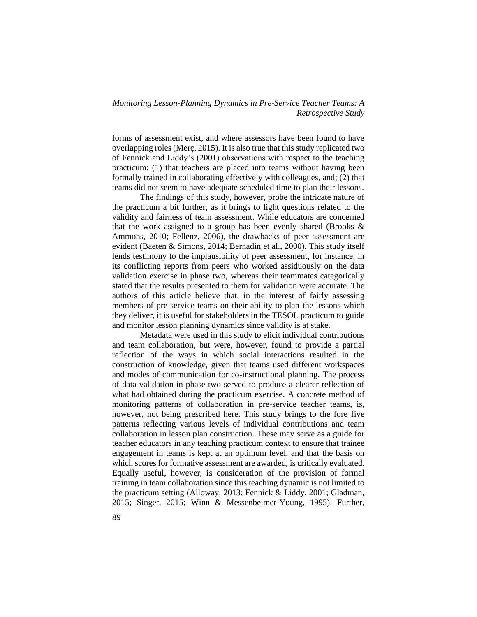forms of assessment exist, and where assessors have been found to have overlapping roles (Merç, 2015). It is also true that this study replicated two of Fennick and Liddy's (2001) observations with respect to the teaching practicum: (1) that teachers are placed into teams without having been formally trained in collaborating effectively with colleagues, and; (2) that teams did not seem to have adequate scheduled time to plan their lessons.

The findings of this study, however, probe the intricate nature of the practicum a bit further, as it brings to light questions related to the validity and fairness of team assessment. While educators are concerned that the work assigned to a group has been evenly shared (Brooks & Ammons, 2010; Fellenz, 2006), the drawbacks of peer assessment are evident (Baeten & Simons, 2014; Bernadin et al., 2000). This study itself lends testimony to the implausibility of peer assessment, for instance, in its conflicting reports from peers who worked assiduously on the data validation exercise in phase two, whereas their teammates categorically stated that the results presented to them for validation were accurate. The authors of this article believe that, in the interest of fairly assessing members of pre-service teams on their ability to plan the lessons which they deliver, it is useful for stakeholders in the TESOL practicum to guide and monitor lesson planning dynamics since validity is at stake.

Metadata were used in this study to elicit individual contributions and team collaboration, but were, however, found to provide a partial reflection of the ways in which social interactions resulted in the construction of knowledge, given that teams used different workspaces and modes of communication for co-instructional planning. The process of data validation in phase two served to produce a clearer reflection of what had obtained during the practicum exercise. A concrete method of monitoring patterns of collaboration in pre-service teacher teams, is, however, not being prescribed here. This study brings to the fore five patterns reflecting various levels of individual contributions and team collaboration in lesson plan construction. These may serve as a guide for teacher educators in any teaching practicum context to ensure that trainee engagement in teams is kept at an optimum level, and that the basis on which scores for formative assessment are awarded, is critically evaluated. Equally useful, however, is consideration of the provision of formal training in team collaboration since this teaching dynamic is not limited to the practicum setting (Alloway, 2013; Fennick & Liddy, 2001; Gladman, 2015; Singer, 2015; Winn & Messenbeimer-Young, 1995). Further,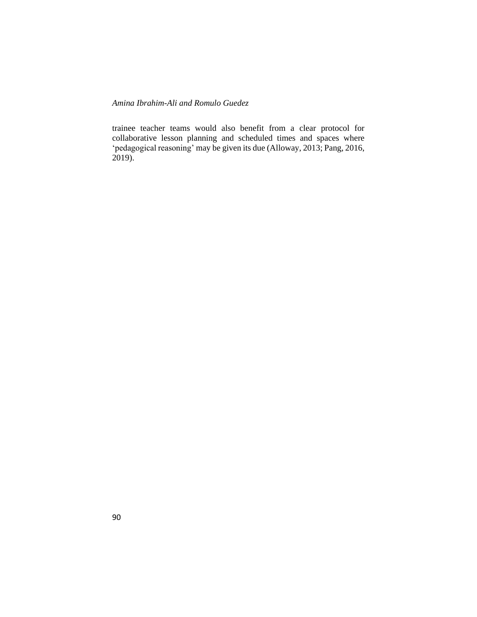trainee teacher teams would also benefit from a clear protocol for collaborative lesson planning and scheduled times and spaces where 'pedagogical reasoning' may be given its due (Alloway, 2013; Pang, 2016, 2019).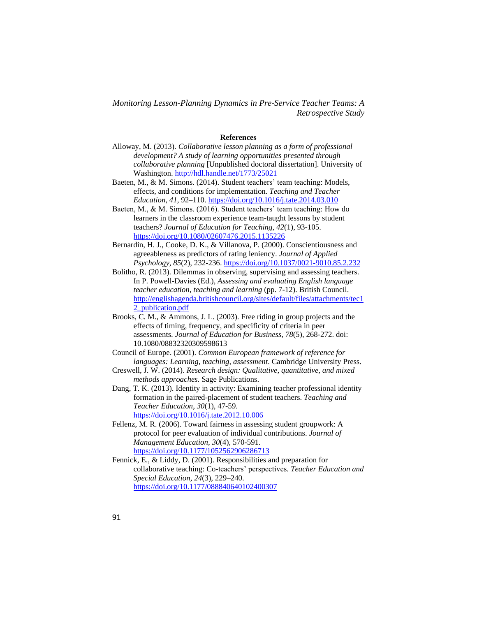#### **References**

- Alloway, M. (2013). *Collaborative lesson planning as a form of professional development? A study of learning opportunities presented through collaborative planning* [Unpublished doctoral dissertation]. University of Washington[. http://hdl.handle.net/1773/25021](http://hdl.handle.net/1773/25021)
- Baeten, M., & M. Simons. (2014). Student teachers' team teaching: Models, effects, and conditions for implementation. *Teaching and Teacher Education, 41*, 92–110. <https://doi.org/10.1016/j.tate.2014.03.010>
- Baeten, M., & M. Simons. (2016). Student teachers' team teaching: How do learners in the classroom experience team-taught lessons by student teachers? *Journal of Education for Teaching*, *42*(1), 93-105. <https://doi.org/10.1080/02607476.2015.1135226>
- Bernardin, H. J., Cooke, D. K., & Villanova, P. (2000). Conscientiousness and agreeableness as predictors of rating leniency. *Journal of Applied Psychology, 85*(2), 232-236. <https://doi.org/10.1037/0021-9010.85.2.232>
- Bolitho, R. (2013). Dilemmas in observing, supervising and assessing teachers. In P. Powell-Davies (Ed.), *Assessing and evaluating English language teacher education, teaching and learning* (pp. 7-12). British Council. [http://englishagenda.britishcouncil.org/sites/default/files/attachments/tec1](http://englishagenda.britishcouncil.org/sites/default/files/attachments/tec12_publication.pdf) [2\\_publication.pdf](http://englishagenda.britishcouncil.org/sites/default/files/attachments/tec12_publication.pdf)
- Brooks, C. M., & Ammons, J. L. (2003). Free riding in group projects and the effects of timing, frequency, and specificity of criteria in peer assessments. *Journal of Education for Business, 78*(5), 268-272. doi: 10.1080/08832320309598613
- Council of Europe. (2001). *Common European framework of reference for languages: Learning, teaching, assessment*. Cambridge University Press.
- Creswell, J. W. (2014). *Research design: Qualitative, quantitative, and mixed methods approaches.* Sage Publications.
- Dang, T. K. (2013). Identity in activity: Examining teacher professional identity formation in the paired-placement of student teachers. *Teaching and Teacher Education*, *30*(1), 47-59. <https://doi.org/10.1016/j.tate.2012.10.006>
- Fellenz, M. R. (2006). Toward fairness in assessing student groupwork: A protocol for peer evaluation of individual contributions. *Journal of Management Education, 30*(4), 570-591. <https://doi.org/10.1177/1052562906286713>
- Fennick, E., & Liddy, D. (2001). Responsibilities and preparation for collaborative teaching: Co-teachers' perspectives. *Teacher Education and Special Education*, *24*(3), 229–240. <https://doi.org/10.1177/088840640102400307>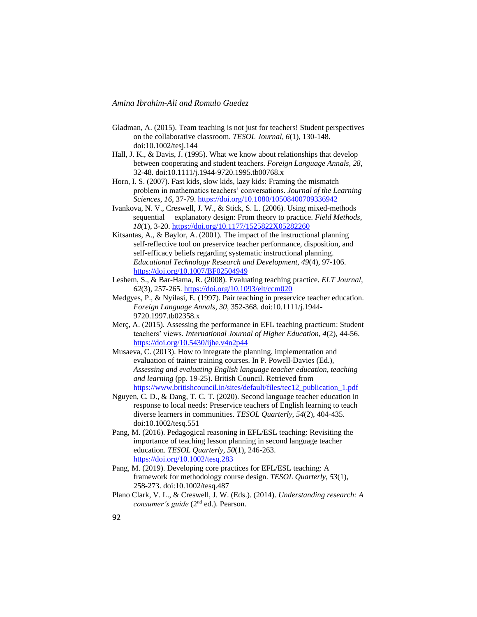- Gladman, A. (2015). Team teaching is not just for teachers! Student perspectives on the collaborative classroom. *TESOL Journal*, *6*(1), 130-148. doi:10.1002/tesj.144
- Hall, J. K., & Davis, J. (1995). What we know about relationships that develop between cooperating and student teachers. *Foreign Language Annals*, *28*, 32-48. doi:10.1111/j.1944-9720.1995.tb00768.x
- Horn, I. S. (2007). Fast kids, slow kids, lazy kids: Framing the mismatch problem in mathematics teachers' conversations. *Journal of the Learning Sciences*, *16*, 37-79. <https://doi.org/10.1080/10508400709336942>
- Ivankova, N. V., Creswell, J. W., & Stick, S. L. (2006). Using mixed-methods sequential explanatory design: From theory to practice. *Field Methods*, *18*(1), 3-20. <https://doi.org/10.1177/1525822X05282260>
- Kitsantas, A., & Baylor, A. (2001). The impact of the instructional planning self-reflective tool on preservice teacher performance, disposition, and self-efficacy beliefs regarding systematic instructional planning. *Educational Technology Research and Development, 49*(4), 97-106. <https://doi.org/10.1007/BF02504949>
- Leshem, S., & Bar-Hama, R. (2008). Evaluating teaching practice. *ELT Journal, 62*(3), 257-265. <https://doi.org/10.1093/elt/ccm020>
- Medgyes, P., & Nyilasi, E. (1997). Pair teaching in preservice teacher education. *Foreign Language Annals*, *30,* 352-368. doi:10.1111/j.1944- 9720.1997.tb02358.x
- Merç, A. (2015). Assessing the performance in EFL teaching practicum: Student teachers' views. *International Journal of Higher Education, 4*(2), 44-56. <https://doi.org/10.5430/ijhe.v4n2p44>
- Musaeva, C. (2013). How to integrate the planning, implementation and evaluation of trainer training courses. In P. Powell-Davies (Ed.), *Assessing and evaluating English language teacher education, teaching and learning* (pp. 19-25). British Council. Retrieved from [https://www.britishcouncil.in/sites/default/files/tec12\\_publication\\_1.pdf](https://www.britishcouncil.in/sites/default/files/tec12_publication_1.pdf)
- Nguyen, C. D., & Dang, T. C. T. (2020). Second language teacher education in response to local needs: Preservice teachers of English learning to teach diverse learners in communities. *TESOL Quarterly, 54*(2), 404-435. doi:10.1002/tesq.551
- Pang, M. (2016). Pedagogical reasoning in EFL/ESL teaching: Revisiting the importance of teaching lesson planning in second language teacher education. *TESOL Quarterly, 50*(1), 246-263. <https://doi.org/10.1002/tesq.283>
- Pang, M. (2019). Developing core practices for EFL/ESL teaching: A framework for methodology course design. *TESOL Quarterly*, *53*(1), 258-273. doi:10.1002/tesq.487
- Plano Clark, V. L., & Creswell, J. W. (Eds.). (2014). *Understanding research: A consumer's guide* (2nd ed.). Pearson.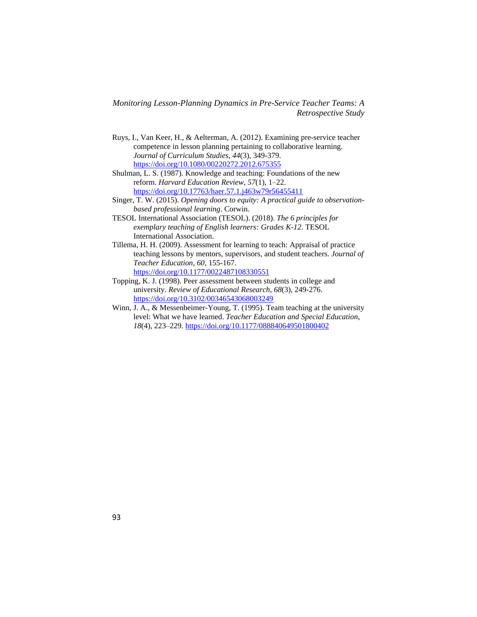- Ruys, I., Van Keer, H., & Aelterman, A. (2012). Examining pre-service teacher competence in lesson planning pertaining to collaborative learning. *Journal of Curriculum Studies*, *44*(3), 349-379. <https://doi.org/10.1080/00220272.2012.675355>
- Shulman, L. S. (1987). Knowledge and teaching: Foundations of the new reform. *Harvard Education Review*, *57*(1), 1–22. <https://doi.org/10.17763/haer.57.1.j463w79r56455411>
- Singer, T. W. (2015). *Opening doors to equity: A practical guide to observationbased professional learning*. Corwin.
- TESOL International Association (TESOL). (2018). *The 6 principles for exemplary teaching of English learners: Grades K-12*. TESOL International Association.
- Tillema, H. H. (2009). Assessment for learning to teach: Appraisal of practice teaching lessons by mentors, supervisors, and student teachers. *Journal of Teacher Education*, *60*, 155-167. <https://doi.org/10.1177/0022487108330551>
- Topping, K. J. (1998). Peer assessment between students in college and university. *Review of Educational Research*, *68*(3), 249-276. <https://doi.org/10.3102/00346543068003249>
- Winn, J. A., & Messenbeimer-Young, T. (1995). Team teaching at the university level: What we have learned. *Teacher Education and Special Education*, *18*(4), 223–229.<https://doi.org/10.1177/088840649501800402>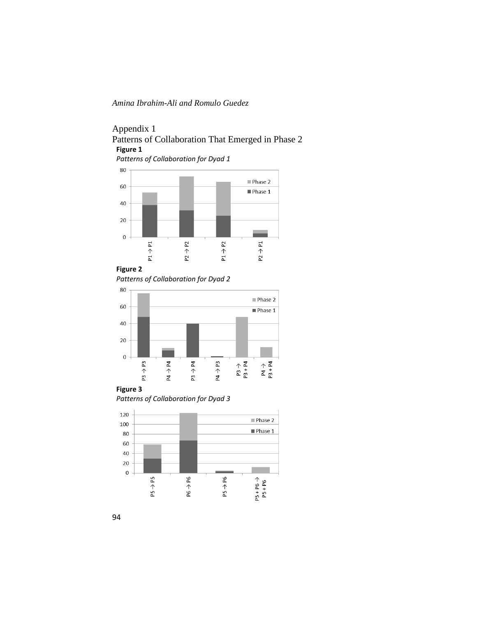# Appendix 1 Patterns of Collaboration That Emerged in Phase 2 **Figure 1**

*Patterns of Collaboration for Dyad 1*



*Patterns of Collaboration for Dyad 2*



## **Figure 3**

*Patterns of Collaboration for Dyad 3*

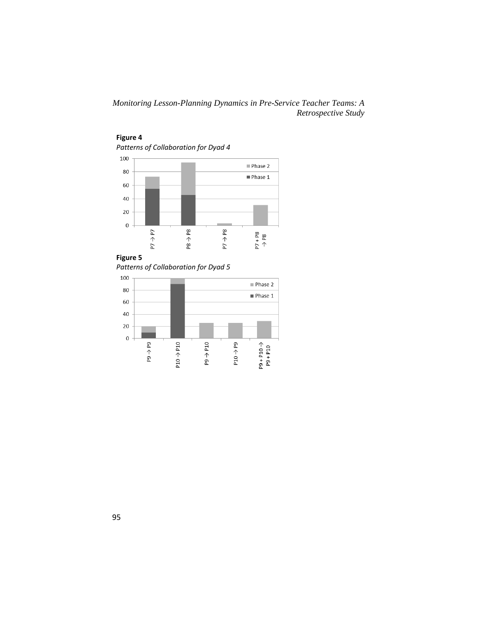

# **Figure 4**

**Figure 5**

*Patterns of Collaboration for Dyad 5*